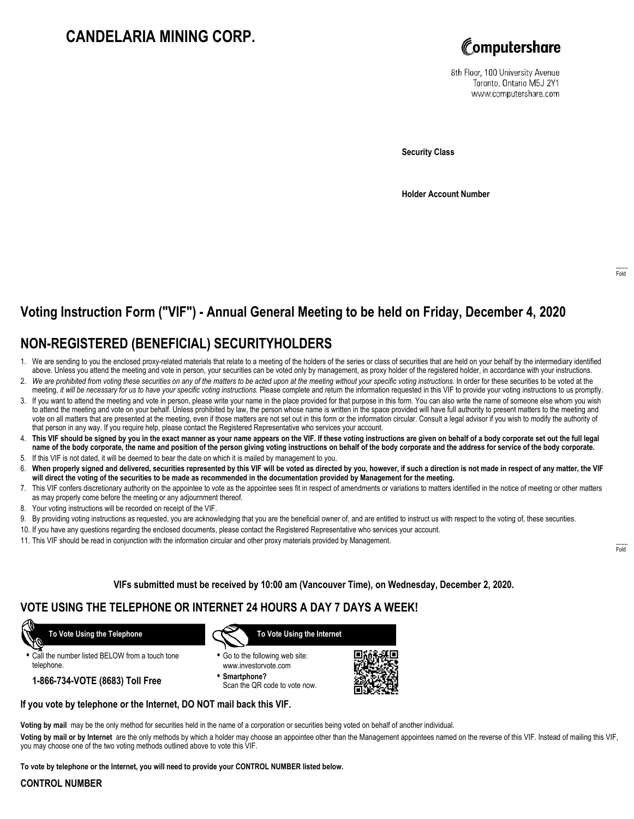# **CANDELARIA MINING CORP.**



8th Floor, 100 University Avenue Toronto, Ontario M5J 2Y1 www.computershare.com

**Security Class**

**Holder Account Number**

# **Voting Instruction Form ("VIF") - Annual General Meeting to be held on Friday, December 4, 2020**

## **NON-REGISTERED (BENEFICIAL) SECURITYHOLDERS**

- 1. We are sending to you the enclosed proxy-related materials that relate to a meeting of the holders of the series or class of securities that are held on your behalf by the intermediary identified above. Unless you attend the meeting and vote in person, your securities can be voted only by management, as proxy holder of the registered holder, in accordance with your instructions.
- 2. *We are prohibited from voting these securities on any of the matters to be acted upon at the meeting without your specific voting instructions.* In order for these securities to be voted at the meeting, *it will be necessary for us to have your specific voting instructions.* Please complete and return the information requested in this VIF to provide your voting instructions to us promptly.
- 3. If you want to attend the meeting and vote in person, please write your name in the place provided for that purpose in this form. You can also write the name of someone else whom you wish to attend the meeting and vote on your behalf. Unless prohibited by law, the person whose name is written in the space provided will have full authority to present matters to the meeting and vote on all matters that are presented at the meeting, even if those matters are not set out in this form or the information circular. Consult a legal advisor if you wish to modify the authority of that person in any way. If you require help, please contact the Registered Representative who services your account.
- 4. **This VIF should be signed by you in the exact manner as your name appears on the VIF. If these voting instructions are given on behalf of a body corporate set out the full legal name of the body corporate, the name and position of the person giving voting instructions on behalf of the body corporate and the address for service of the body corporate.**
- 5. If this VIF is not dated, it will be deemed to bear the date on which it is mailed by management to you.
- 6. **When properly signed and delivered, securities represented by this VIF will be voted as directed by you, however, if such a direction is not made in respect of any matter, the VIF will direct the voting of the securities to be made as recommended in the documentation provided by Management for the meeting.**
- 7. This VIF confers discretionary authority on the appointee to vote as the appointee sees fit in respect of amendments or variations to matters identified in the notice of meeting or other matters as may properly come before the meeting or any adjournment thereof.
- 8. Your voting instructions will be recorded on receipt of the VIF.
- 9. By providing voting instructions as requested, you are acknowledging that you are the beneficial owner of, and are entitled to instruct us with respect to the voting of, these securities.
- 10. If you have any questions regarding the enclosed documents, please contact the Registered Representative who services your account.
- 11. This VIF should be read in conjunction with the information circular and other proxy materials provided by Management.

**VIFs submitted must be received by 10:00 am (Vancouver Time), on Wednesday, December 2, 2020.**

### **VOTE USING THE TELEPHONE OR INTERNET 24 HOURS A DAY 7 DAYS A WEEK!**

 **To Vote Using the Telephone**

**•** Call the number listed BELOW from a touch tone telephone.

**1-866-734-VOTE (8683) Toll Free**



- **•** Go to the following web site: www.investorvote.com
- **• Smartphone?** Scan the QR code to vote now.



#### **If you vote by telephone or the Internet, DO NOT mail back this VIF.**

**Voting by mail** may be the only method for securities held in the name of a corporation or securities being voted on behalf of another individual.

**Voting by mail or by Internet** are the only methods by which a holder may choose an appointee other than the Management appointees named on the reverse of this VIF. Instead of mailing this VIF, you may choose one of the two voting methods outlined above to vote this VIF.

**To vote by telephone or the Internet, you will need to provide your CONTROL NUMBER listed below.**

#### **CONTROL NUMBER**